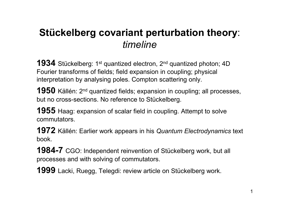# **Stückelberg covariant perturbation theory**: *timeline*

**1934** Stückelberg: 1<sup>st</sup> quantized electron, 2<sup>nd</sup> quantized photon; 4D Fourier transforms of fields; field expansion in coupling; physical interpretation by analysing poles. Compton scattering only.

**1950** Källén: 2<sup>nd</sup> quantized fields; expansion in coupling; all processes, but no cross-sections. No reference to Stückelberg.

**1955** Haag: expansion of scalar field in coupling. Attempt to solve commutators.

**1972** Källén: Earlier work appears in his *Quantum Electrodynamics* text book.

**1984-7** CGO: Independent reinvention of Stückelberg work, but all processes and with solving of commutators.

**1999** Lacki, Ruegg, Telegdi: review article on Stückelberg work.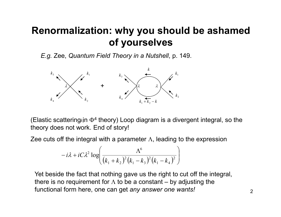### **Renormalization: why you should be ashamed of yourselves**

*E.g.* Zee, *Quantum Field Theory in a Nutshell*, p. 149.



(Elastic scattering<sub>k</sub>in  $\Phi^4$  theory) Loop diagram is a divergent integral, so the theory does not work. End of story!

Zee cuts off the integral with a parameter  $\Lambda$ , leading to the expression

$$
-i\lambda + iC\lambda^{2} \log \left( \frac{\Lambda^{6}}{(k_{1} + k_{2})^{2}(k_{1} - k_{3})^{2}(k_{1} - k_{4})^{2}} \right)
$$

Yet beside the fact that nothing gave us the right to cut off the integral, there is no requirement for  $\Lambda$  to be a constant – by adjusting the functional form here, one can get *any answer one wants!*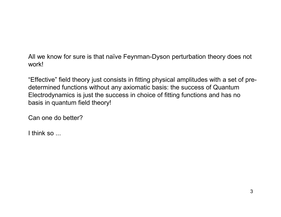All we know for sure is that naïve Feynman-Dyson perturbation theory does not work!

"Effective" field theory just consists in fitting physical amplitudes with a set of predetermined functions without any axiomatic basis: the success of Quantum Electrodynamics is just the success in choice of fitting functions and has no basis in quantum field theory!

Can one do better?

I think so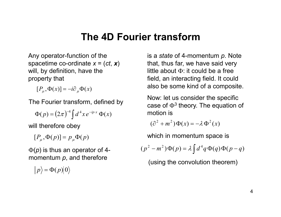#### **The 4D Fourier transform**

Any operator-function of the spacetime co-ordinate *x* = (*ct*, *x*) will, by definition, have the property that

 $[P_\mu, \Phi(x)] = -i\partial_\mu \Phi(x)$ 

The Fourier transform, defined by

$$
\Phi(p) = (2\pi)^{-4} \int d^4x \, e^{-ip\cdot x} \, \Phi(x)
$$

will therefore obey

$$
[P_{\mu}, \Phi(p)] = p_{\mu} \Phi(p)
$$

Φ(*p*) is thus an operator of 4 momentum *p*, and therefore

$$
|p\rangle = \Phi(p)|0\rangle
$$

is a *state* of 4-momentum *p*. Note that, thus far, we have said very little about Φ: it could be a free field, an interacting field. It could also be some kind of a composite.

Now: let us consider the specific case of  $\Phi^3$  theory. The equation of motion is

$$
(\partial^2 + m^2)\Phi(x) = -\lambda \Phi^2(x)
$$

which in momentum space is

$$
(p2 - m2)\Phi(p) = \lambda \int d4 q \Phi(q) \Phi(p - q)
$$

(using the convolution theorem)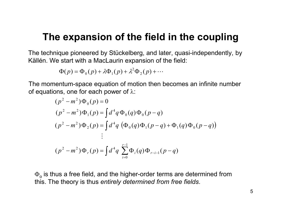### **The expansion of the field in the coupling**

The technique pioneered by Stückelberg, and later, quasi-independently, by Källén. We start with a MacLaurin expansion of the field:

$$
\Phi(p) = \Phi_0(p) + \lambda \Phi_1(p) + \lambda^2 \Phi_2(p) + \cdots
$$

The momentum-space equation of motion then becomes an infinite number of equations, one for each power of  $\lambda$ :

$$
(p2 - m2)\Phi_{0}(p) = 0
$$
  
\n
$$
(p2 - m2)\Phi_{1}(p) = \int d4q \Phi_{0}(q)\Phi_{0}(p-q)
$$
  
\n
$$
(p2 - m2)\Phi_{2}(p) = \int d4q (\Phi_{0}(q)\Phi_{1}(p-q) + \Phi_{1}(q)\Phi_{0}(p-q))
$$
  
\n
$$
\vdots
$$
  
\n
$$
(p2 - m2)\Phi_{r}(p) = \int d4q \sum_{i=0}^{r-1} \Phi_{i}(q)\Phi_{r-i-1}(p-q)
$$

 $\Phi_\text{o}$  is thus a free field, and the higher-order terms are determined from this. The theory is thus *entirely determined from free fields*.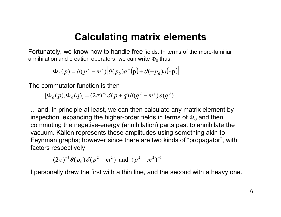#### **Calculating matrix elements**

Fortunately, we know how to handle free fields. In terms of the more-familiar annihilation and creation operators, we can write  $\Phi_0$  thus:

$$
\Phi_0(p) = \delta(p^2 - m^2) \left[ \theta(p_0) a^+(\mathbf{p}) + \theta(-p_0) a(-\mathbf{p}) \right]
$$

The commutator function is then

$$
[\Phi_0(p), \Phi_0(q)] = (2\pi)^{-3} \delta(p+q) \delta(q^2 - m^2) \varepsilon(q^0)
$$

... and, in principle at least, we can then calculate any matrix element by inspection, expanding the higher-order fields in terms of  $\Phi_0$  and then commuting the negative-energy (annihilation) parts past to annihilate the vacuum. Källén represents these amplitudes using something akin to Feynman graphs; however since there are two kinds of "propagator", with factors respectively

$$
(2\pi)^{-3} \theta(p_0) \delta(p^2 - m^2)
$$
 and  $(p^2 - m^2)^{-1}$ 

I personally draw the first with a thin line, and the second with a heavy one.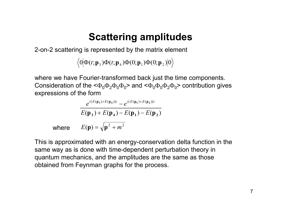## **Scattering amplitudes**

2-on-2 scattering is represented by the matrix element

 $0|\Phi(t;\mathbf{p}_3)\Phi(t;\mathbf{p}_4)\Phi(0;\mathbf{p}_1)\Phi(0;\mathbf{p}_2)|0\rangle$ 

where we have Fourier-transformed back just the time components. Consideration of the  $\langle \Phi_0 \Phi_2 \Phi_0 \Phi_0 \rangle$  and  $\langle \Phi_0 \Phi_0 \Phi_2 \Phi_0 \rangle$  contribution gives expressions of the form

$$
e^{i(E(\mathbf{p}_3) + E(\mathbf{p}_4))t} - e^{i(E(\mathbf{p}_1) + E(\mathbf{p}_2))t}
$$
  
\n
$$
E(\mathbf{p}_3) + E(\mathbf{p}_4) - E(\mathbf{p}_1) - E(\mathbf{p}_2)
$$
  
\nwhere 
$$
E(\mathbf{p}) = \sqrt{\mathbf{p}^2 + m^2}
$$

This is approximated with an energy-conservation delta function in the same way as is done with time-dependent perturbation theory in quantum mechanics, and the amplitudes are the same as those obtained from Feynman graphs for the process.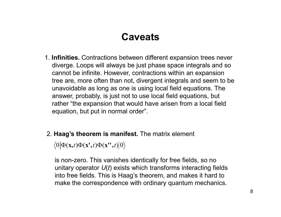### **Caveats**

- 1. **Infinities.** Contractions between different expansion trees never diverge. Loops will always be just phase space integrals and so cannot be infinite. However, contractions within an expansion tree are, more often than not, divergent integrals and seem to be unavoidable as long as one is using local field equations. The answer, probably, is just not to use local field equations, but rather "the expansion that would have arisen from a local field equation, but put in normal order".
- 2. **Haag's theorem is manifest.** The matrix element

 $\langle 0 | \Phi(\mathbf{x}, t) \Phi(\mathbf{x}', t) \Phi(\mathbf{x}'', t) | 0 \rangle$ 

is non-zero. This vanishes identically for free fields, so no unitary operator *U*(*t*) exists which transforms interacting fields into free fields. This is Haag's theorem, and makes it hard to make the correspondence with ordinary quantum mechanics.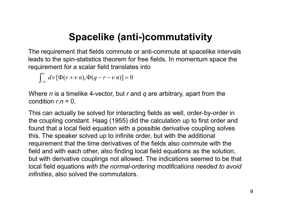## **Spacelike (anti-)commutativity**

The requirement that fields commute or anti-commute at spacelike intervals leads to the spin-statistics theorem for free fields. In momentum space the requirement for a scalar field translates into

 $\int_{-\infty}^{\infty} d\nu [\Phi(r+\nu n), \Phi(q-r-\nu n)] = 0$ −∞  $dV[\Phi(r + v n), \Phi(q - r - v n)]$ 

Where *n* is a timelike 4-vector, but *r* and *q* are arbitrary, apart from the condition  $r_n = 0$ .

This can actually be solved for interacting fields as well, order-by-order in the coupling constant. Haag (1955) did the calculation up to first order and found that a local field equation with a possible derivative coupling solves this. The speaker solved up to infinite order, but with the additional requirement that the time derivatives of the fields also commute with the field and with each other, also finding local field equations as the solution, but with derivative couplings not allowed. The indications seemed to be that local field equations *with the normal-ordering modifications needed to avoid infinities*, also solved the commutators.